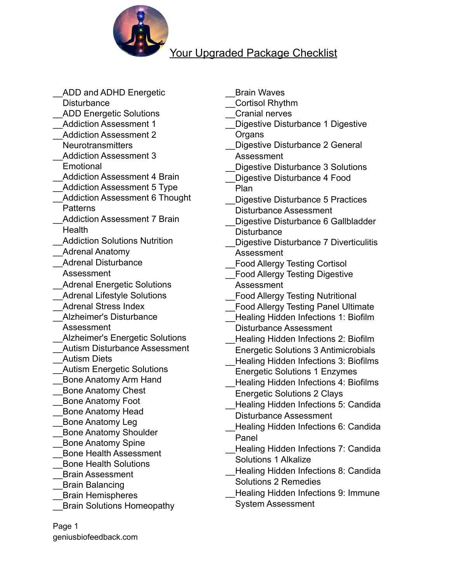

## Your Upgraded Package Checklist

ADD and ADHD Energetic **Disturbance** ADD Energetic Solutions \_\_Addiction Assessment 1 \_\_Addiction Assessment 2 **Neurotransmitters** \_\_Addiction Assessment 3 **Emotional** Addiction Assessment 4 Brain Addiction Assessment 5 Type \_\_Addiction Assessment 6 Thought **Patterns** Addiction Assessment 7 Brain **Health** Addiction Solutions Nutrition \_\_Adrenal Anatomy \_\_Adrenal Disturbance Assessment \_\_Adrenal Energetic Solutions Adrenal Lifestyle Solutions \_\_Adrenal Stress Index \_\_Alzheimer's Disturbance Assessment \_\_Alzheimer's Energetic Solutions \_\_Autism Disturbance Assessment \_\_Autism Diets \_\_Autism Energetic Solutions \_\_Bone Anatomy Arm Hand \_\_Bone Anatomy Chest \_\_Bone Anatomy Foot \_\_Bone Anatomy Head \_\_Bone Anatomy Leg \_\_Bone Anatomy Shoulder \_\_Bone Anatomy Spine \_\_Bone Health Assessment \_\_Bone Health Solutions \_\_Brain Assessment \_\_Brain Balancing \_\_Brain Hemispheres \_\_Brain Solutions Homeopathy

\_\_Brain Waves

\_\_Cortisol Rhythm

- \_\_Cranial nerves
- Digestive Disturbance 1 Digestive **Organs**

\_\_Digestive Disturbance 2 General Assessment

- Digestive Disturbance 3 Solutions
- Digestive Disturbance 4 Food Plan
- Digestive Disturbance 5 Practices Disturbance Assessment
- Digestive Disturbance 6 Gallbladder **Disturbance**
- \_\_Digestive Disturbance 7 Diverticulitis Assessment
- \_\_Food Allergy Testing Cortisol
- \_\_Food Allergy Testing Digestive Assessment
- \_\_Food Allergy Testing Nutritional
- Food Allergy Testing Panel Ultimate
- \_\_Healing Hidden Infections 1: Biofilm Disturbance Assessment
- \_\_Healing Hidden Infections 2: Biofilm
- Energetic Solutions 3 Antimicrobials \_\_Healing Hidden Infections 3: Biofilms
- Energetic Solutions 1 Enzymes Healing Hidden Infections 4: Biofilms
- Energetic Solutions 2 Clays
- \_\_Healing Hidden Infections 5: Candida Disturbance Assessment
- \_\_Healing Hidden Infections 6: Candida Panel
- \_\_Healing Hidden Infections 7: Candida Solutions 1 Alkalize
- \_\_Healing Hidden Infections 8: Candida Solutions 2 Remedies
- Healing Hidden Infections 9: Immune System Assessment

Page 1 geniusbiofeedback.com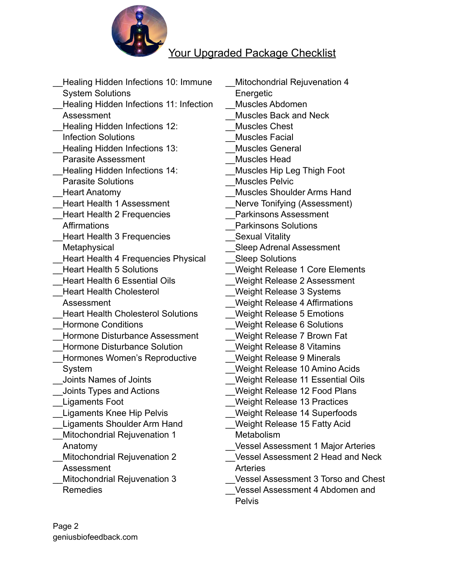

## Your Upgraded Package Checklist

- Healing Hidden Infections 10: Immune System Solutions
- \_\_Healing Hidden Infections 11: Infection Assessment
- Healing Hidden Infections 12: Infection Solutions
- Healing Hidden Infections 13: Parasite Assessment
- Healing Hidden Infections 14: Parasite Solutions
- Heart Anatomy
- \_\_Heart Health 1 Assessment Heart Health 2 Frequencies
- Affirmations
- \_\_Heart Health 3 Frequencies **Metaphysical**
- Heart Health 4 Frequencies Physical
- \_\_Heart Health 5 Solutions
- \_\_Heart Health 6 Essential Oils
- \_\_Heart Health Cholesterol Assessment
- Heart Health Cholesterol Solutions \_\_Hormone Conditions
- \_\_Hormone Disturbance Assessment
- \_\_Hormone Disturbance Solution
- Hormones Women's Reproductive System
- \_\_Joints Names of Joints
- \_\_Joints Types and Actions
- \_\_Ligaments Foot
- Ligaments Knee Hip Pelvis
- \_\_Ligaments Shoulder Arm Hand
- Mitochondrial Rejuvenation 1 Anatomy
	- Mitochondrial Rejuvenation 2 Assessment
- Mitochondrial Rejuvenation 3 Remedies
- Mitochondrial Rejuvenation 4 **Energetic** \_\_Muscles Abdomen \_\_Muscles Back and Neck \_\_Muscles Chest \_\_Muscles Facial \_\_Muscles General \_\_Muscles Head \_\_Muscles Hip Leg Thigh Foot Muscles Pelvic \_\_Muscles Shoulder Arms Hand
- Nerve Tonifying (Assessment)
- \_\_Parkinsons Assessment
- \_\_Parkinsons Solutions
- Sexual Vitality
- \_\_Sleep Adrenal Assessment
- Sleep Solutions
- \_\_Weight Release 1 Core Elements
- \_\_Weight Release 2 Assessment
- \_\_Weight Release 3 Systems
- Weight Release 4 Affirmations
- \_\_Weight Release 5 Emotions
- \_\_Weight Release 6 Solutions
- \_\_Weight Release 7 Brown Fat
- \_\_Weight Release 8 Vitamins
- \_\_Weight Release 9 Minerals
- \_\_Weight Release 10 Amino Acids
- \_\_Weight Release 11 Essential Oils
- Weight Release 12 Food Plans
- \_\_Weight Release 13 Practices
- Weight Release 14 Superfoods
- Weight Release 15 Fatty Acid **Metabolism**
- \_\_Vessel Assessment 1 Major Arteries
- \_\_Vessel Assessment 2 Head and Neck **Arteries**
- \_\_Vessel Assessment 3 Torso and Chest
- \_\_Vessel Assessment 4 Abdomen and Pelvis